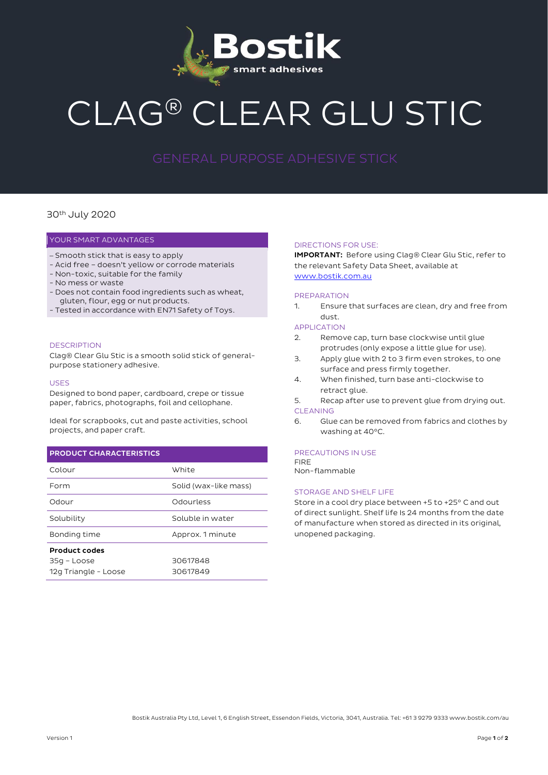

# CLAG® CLEAR GLU STIC

### 30th July 2020

#### YOUR SMART ADVANTAGES

- Smooth stick that is easy to apply
- Acid free doesn't yellow or corrode materials
- Non-toxic, suitable for the family
- No mess or waste
- Does not contain food ingredients such as wheat, gluten, flour, egg or nut products.
- Tested in accordance with EN71 Safety of Toys.

#### **DESCRIPTION**

Clag® Clear Glu Stic is a smooth solid stick of generalpurpose stationery adhesive.

#### USES

Designed to bond paper, cardboard, crepe or tissue paper, fabrics, photographs, foil and cellophane.

Ideal for scrapbooks, cut and paste activities, school projects, and paper craft.

#### PRODUCT CHARACTERISTICS

| Colour                              | White                 |
|-------------------------------------|-----------------------|
| Form                                | Solid (wax-like mass) |
| Odour                               | Odourless             |
| Solubility                          | Soluble in water      |
| Bonding time                        | Approx. 1 minute      |
| <b>Product codes</b>                |                       |
| 35g – Loose<br>12g Triangle - Loose | 30617848<br>30617849  |

#### DIRECTIONS FOR USE:

IMPORTANT: Before using Clag® Clear Glu Stic, refer to the relevant Safety Data Sheet, available at [www.bostik.com.au](http://www.bostik.com.au/)

#### PREPARATION

1. Ensure that surfaces are clean, dry and free from dust.

#### APPLICATION

- 2. Remove cap, turn base clockwise until glue protrudes (only expose a little glue for use).
- 3. Apply glue with 2 to 3 firm even strokes, to one surface and press firmly together.
- 4. When finished, turn base anti-clockwise to retract glue.
- 5. Recap after use to prevent glue from drying out. **CLEANING**
- 6. Glue can be removed from fabrics and clothes by washing at 40°C.

#### PRECAUTIONS IN USE

**FIDE** Non-flammable

#### STORAGE AND SHELF LIFE

Store in a cool dry place between +5 to +25° C and out of direct sunlight. Shelf life Is 24 months from the date of manufacture when stored as directed in its original, unopened packaging.